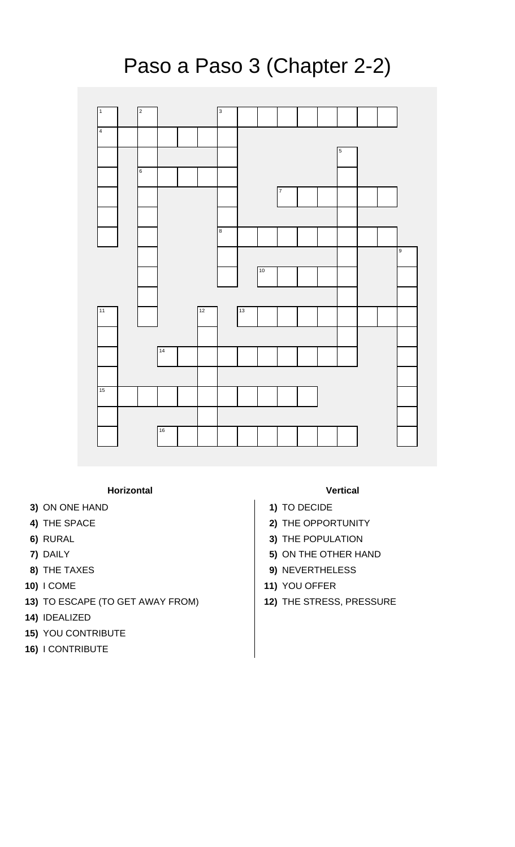

## **Horizontal Vertical**

- **3)** ON ONE HAND **1)** TO DECIDE
- 
- 
- 
- 
- 
- **13)** TO ESCAPE (TO GET AWAY FROM) **12)** THE STRESS, PRESSURE
- **14)** IDEALIZED
- **15)** YOU CONTRIBUTE
- **16)** I CONTRIBUTE

- 
- **4)** THE SPACE **2)** THE OPPORTUNITY
- **6)** RURAL **3)** THE POPULATION
- **7)** DAILY **5)** ON THE OTHER HAND
- **8)** THE TAXES **9)** NEVERTHELESS
- **10)** I COME **11)** YOU OFFER
	-

## Paso a Paso 3 (Chapter 2-2)